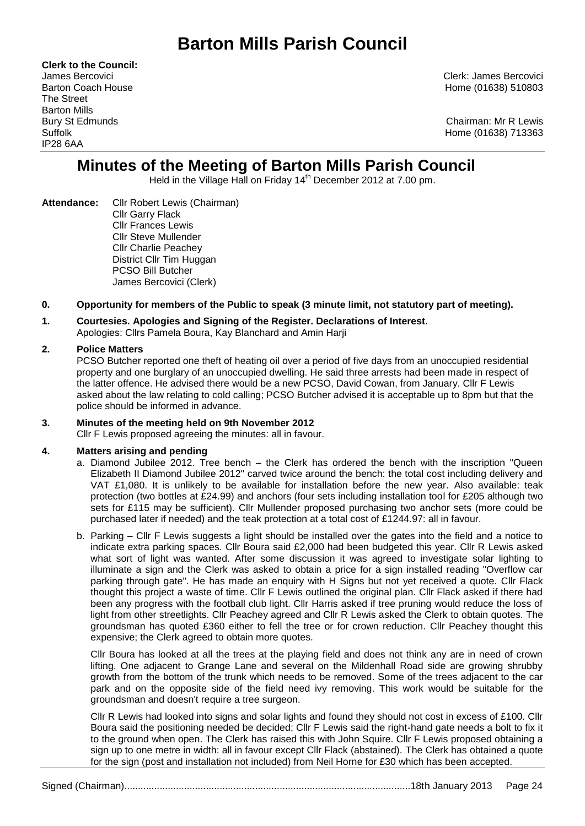# **Barton Mills Parish Council**

**Clerk to the Council:** The Street Barton Mills IP28 6AA

James Bercovici Clerk: James Bercovici Barton Coach House **Home (01638)** 510803

Bury St Edmunds Chairman: Mr R Lewis Suffolk Home (01638) 713363

# **Minutes of the Meeting of Barton Mills Parish Council**

Held in the Village Hall on Friday 14<sup>th</sup> December 2012 at 7.00 pm.

**Attendance:** Cllr Robert Lewis (Chairman) Cllr Garry Flack Cllr Frances Lewis Cllr Steve Mullender Cllr Charlie Peachey District Cllr Tim Huggan PCSO Bill Butcher James Bercovici (Clerk)

# **0. Opportunity for members of the Public to speak (3 minute limit, not statutory part of meeting).**

# **1. Courtesies. Apologies and Signing of the Register. Declarations of Interest.**

Apologies: Cllrs Pamela Boura, Kay Blanchard and Amin Harji

# **2. Police Matters**

PCSO Butcher reported one theft of heating oil over a period of five days from an unoccupied residential property and one burglary of an unoccupied dwelling. He said three arrests had been made in respect of the latter offence. He advised there would be a new PCSO, David Cowan, from January. Cllr F Lewis asked about the law relating to cold calling; PCSO Butcher advised it is acceptable up to 8pm but that the police should be informed in advance.

# **3. Minutes of the meeting held on 9th November 2012**

Cllr F Lewis proposed agreeing the minutes: all in favour.

# **4. Matters arising and pending**

- a. Diamond Jubilee 2012. Tree bench the Clerk has ordered the bench with the inscription "Queen Elizabeth II Diamond Jubilee 2012" carved twice around the bench: the total cost including delivery and VAT £1,080. It is unlikely to be available for installation before the new year. Also available: teak protection (two bottles at £24.99) and anchors (four sets including installation tool for £205 although two sets for £115 may be sufficient). Cllr Mullender proposed purchasing two anchor sets (more could be purchased later if needed) and the teak protection at a total cost of £1244.97: all in favour.
- b. Parking Cllr F Lewis suggests a light should be installed over the gates into the field and a notice to indicate extra parking spaces. Cllr Boura said £2,000 had been budgeted this year. Cllr R Lewis asked what sort of light was wanted. After some discussion it was agreed to investigate solar lighting to illuminate a sign and the Clerk was asked to obtain a price for a sign installed reading "Overflow car parking through gate". He has made an enquiry with H Signs but not yet received a quote. Cllr Flack thought this project a waste of time. Cllr F Lewis outlined the original plan. Cllr Flack asked if there had been any progress with the football club light. Cllr Harris asked if tree pruning would reduce the loss of light from other streetlights. Cllr Peachey agreed and Cllr R Lewis asked the Clerk to obtain quotes. The groundsman has quoted £360 either to fell the tree or for crown reduction. Cllr Peachey thought this expensive; the Clerk agreed to obtain more quotes.

Cllr Boura has looked at all the trees at the playing field and does not think any are in need of crown lifting. One adjacent to Grange Lane and several on the Mildenhall Road side are growing shrubby growth from the bottom of the trunk which needs to be removed. Some of the trees adjacent to the car park and on the opposite side of the field need ivy removing. This work would be suitable for the groundsman and doesn't require a tree surgeon.

Cllr R Lewis had looked into signs and solar lights and found they should not cost in excess of £100. Cllr Boura said the positioning needed be decided; Cllr F Lewis said the right-hand gate needs a bolt to fix it to the ground when open. The Clerk has raised this with John Squire. Cllr F Lewis proposed obtaining a sign up to one metre in width: all in favour except Cllr Flack (abstained). The Clerk has obtained a quote for the sign (post and installation not included) from Neil Horne for £30 which has been accepted.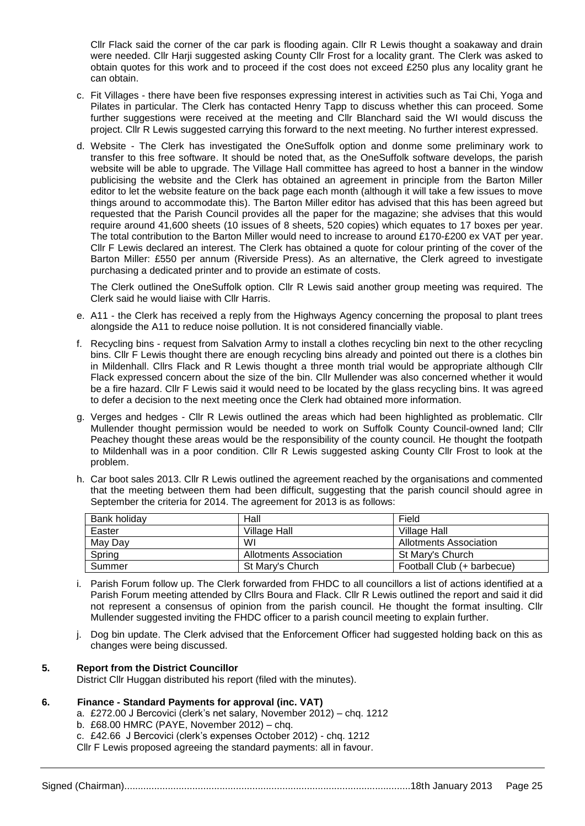Cllr Flack said the corner of the car park is flooding again. Cllr R Lewis thought a soakaway and drain were needed. Cllr Harji suggested asking County Cllr Frost for a locality grant. The Clerk was asked to obtain quotes for this work and to proceed if the cost does not exceed £250 plus any locality grant he can obtain.

- c. Fit Villages there have been five responses expressing interest in activities such as Tai Chi, Yoga and Pilates in particular. The Clerk has contacted Henry Tapp to discuss whether this can proceed. Some further suggestions were received at the meeting and Cllr Blanchard said the WI would discuss the project. Cllr R Lewis suggested carrying this forward to the next meeting. No further interest expressed.
- d. Website The Clerk has investigated the OneSuffolk option and donme some preliminary work to transfer to this free software. It should be noted that, as the OneSuffolk software develops, the parish website will be able to upgrade. The Village Hall committee has agreed to host a banner in the window publicising the website and the Clerk has obtained an agreement in principle from the Barton Miller editor to let the website feature on the back page each month (although it will take a few issues to move things around to accommodate this). The Barton Miller editor has advised that this has been agreed but requested that the Parish Council provides all the paper for the magazine; she advises that this would require around 41,600 sheets (10 issues of 8 sheets, 520 copies) which equates to 17 boxes per year. The total contribution to the Barton Miller would need to increase to around £170-£200 ex VAT per year. Cllr F Lewis declared an interest. The Clerk has obtained a quote for colour printing of the cover of the Barton Miller: £550 per annum (Riverside Press). As an alternative, the Clerk agreed to investigate purchasing a dedicated printer and to provide an estimate of costs.

The Clerk outlined the OneSuffolk option. Cllr R Lewis said another group meeting was required. The Clerk said he would liaise with Cllr Harris.

- e. A11 the Clerk has received a reply from the Highways Agency concerning the proposal to plant trees alongside the A11 to reduce noise pollution. It is not considered financially viable.
- f. Recycling bins request from Salvation Army to install a clothes recycling bin next to the other recycling bins. Cllr F Lewis thought there are enough recycling bins already and pointed out there is a clothes bin in Mildenhall. Cllrs Flack and R Lewis thought a three month trial would be appropriate although Cllr Flack expressed concern about the size of the bin. Cllr Mullender was also concerned whether it would be a fire hazard. Cllr F Lewis said it would need to be located by the glass recycling bins. It was agreed to defer a decision to the next meeting once the Clerk had obtained more information.
- g. Verges and hedges Cllr R Lewis outlined the areas which had been highlighted as problematic. Cllr Mullender thought permission would be needed to work on Suffolk County Council-owned land; Cllr Peachey thought these areas would be the responsibility of the county council. He thought the footpath to Mildenhall was in a poor condition. Cllr R Lewis suggested asking County Cllr Frost to look at the problem.
- h. Car boot sales 2013. Cllr R Lewis outlined the agreement reached by the organisations and commented that the meeting between them had been difficult, suggesting that the parish council should agree in September the criteria for 2014. The agreement for 2013 is as follows:

| Bank holidav | Hall                   | Field                      |
|--------------|------------------------|----------------------------|
| Easter       | Village Hall           | Village Hall               |
| May Day      | WI                     | Allotments Association     |
| Spring       | Allotments Association | St Mary's Church           |
| Summer       | St Mary's Church       | Football Club (+ barbecue) |

- i. Parish Forum follow up. The Clerk forwarded from FHDC to all councillors a list of actions identified at a Parish Forum meeting attended by Cllrs Boura and Flack. Cllr R Lewis outlined the report and said it did not represent a consensus of opinion from the parish council. He thought the format insulting. Cllr Mullender suggested inviting the FHDC officer to a parish council meeting to explain further.
- j. Dog bin update. The Clerk advised that the Enforcement Officer had suggested holding back on this as changes were being discussed.

# **5. Report from the District Councillor**

District Cllr Huggan distributed his report (filed with the minutes).

# **6. Finance - Standard Payments for approval (inc. VAT)**

- a. £272.00 J Bercovici (clerk's net salary, November 2012) chq. 1212
- b. £68.00 HMRC (PAYE, November 2012) chq.
- c. £42.66 J Bercovici (clerk's expenses October 2012) chq. 1212

Cllr F Lewis proposed agreeing the standard payments: all in favour.